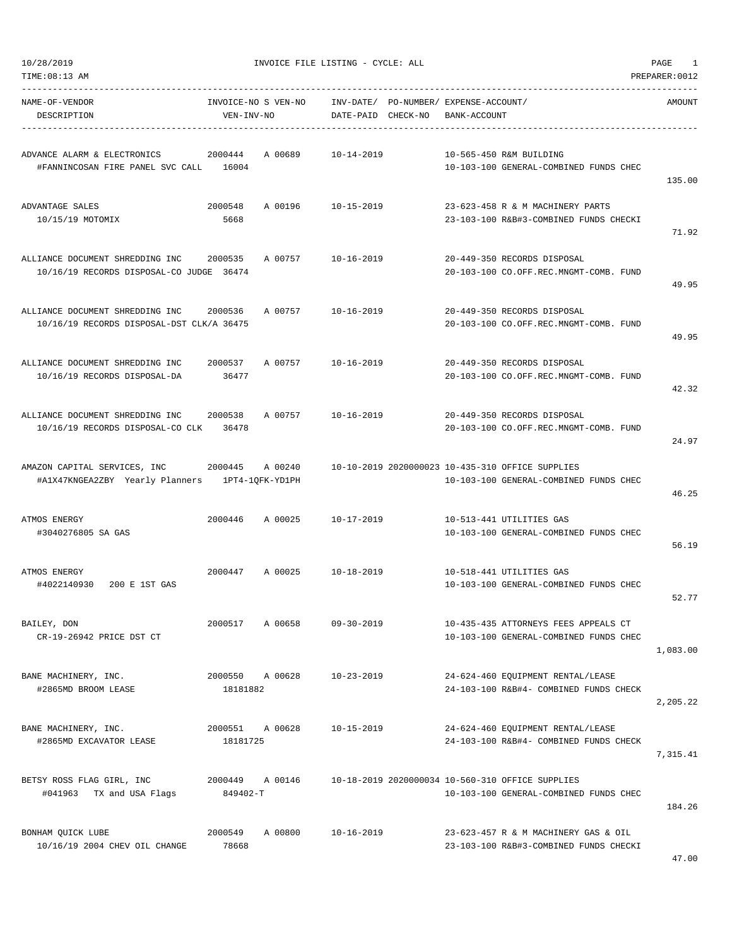TIME:08:13 AM PREPARER:0012

10/28/2019 INVOICE FILE LISTING - CYCLE: ALL PAGE 1

| NAME-OF-VENDOR<br>DESCRIPTION                                                   | INVOICE-NO S VEN-NO<br>VEN-INV-NO |         | DATE-PAID CHECK-NO | INV-DATE/ PO-NUMBER/ EXPENSE-ACCOUNT/ | BANK-ACCOUNT |                                                                                            | AMOUNT   |
|---------------------------------------------------------------------------------|-----------------------------------|---------|--------------------|---------------------------------------|--------------|--------------------------------------------------------------------------------------------|----------|
| ADVANCE ALARM & ELECTRONICS<br>#FANNINCOSAN FIRE PANEL SVC CALL 16004           | 2000444                           | A 00689 | $10 - 14 - 2019$   |                                       |              | 10-565-450 R&M BUILDING<br>10-103-100 GENERAL-COMBINED FUNDS CHEC                          | 135.00   |
| ADVANTAGE SALES<br>10/15/19 MOTOMIX                                             | 2000548<br>5668                   | A 00196 | 10-15-2019         |                                       |              | 23-623-458 R & M MACHINERY PARTS<br>23-103-100 R&B#3-COMBINED FUNDS CHECKI                 | 71.92    |
| ALLIANCE DOCUMENT SHREDDING INC<br>10/16/19 RECORDS DISPOSAL-CO JUDGE 36474     | 2000535                           | A 00757 | $10 - 16 - 2019$   |                                       |              | 20-449-350 RECORDS DISPOSAL<br>20-103-100 CO.OFF.REC.MNGMT-COMB. FUND                      | 49.95    |
| ALLIANCE DOCUMENT SHREDDING INC<br>10/16/19 RECORDS DISPOSAL-DST CLK/A 36475    | 2000536                           | A 00757 | $10 - 16 - 2019$   |                                       |              | 20-449-350 RECORDS DISPOSAL<br>20-103-100 CO.OFF.REC.MNGMT-COMB. FUND                      | 49.95    |
| ALLIANCE DOCUMENT SHREDDING INC<br>10/16/19 RECORDS DISPOSAL-DA                 | 2000537<br>36477                  | A 00757 | $10 - 16 - 2019$   |                                       |              | 20-449-350 RECORDS DISPOSAL<br>20-103-100 CO.OFF.REC.MNGMT-COMB. FUND                      | 42.32    |
| ALLIANCE DOCUMENT SHREDDING INC<br>10/16/19 RECORDS DISPOSAL-CO CLK             | 2000538<br>36478                  | A 00757 | 10-16-2019         |                                       |              | 20-449-350 RECORDS DISPOSAL<br>20-103-100 CO.OFF.REC.MNGMT-COMB. FUND                      | 24.97    |
| AMAZON CAPITAL SERVICES, INC<br>#A1X47KNGEA2ZBY Yearly Planners 1PT4-1QFK-YD1PH | 2000445                           | A 00240 |                    |                                       |              | 10-10-2019 2020000023 10-435-310 OFFICE SUPPLIES<br>10-103-100 GENERAL-COMBINED FUNDS CHEC | 46.25    |
| ATMOS ENERGY<br>#3040276805 SA GAS                                              | 2000446                           | A 00025 | 10-17-2019         |                                       |              | 10-513-441 UTILITIES GAS<br>10-103-100 GENERAL-COMBINED FUNDS CHEC                         | 56.19    |
| ATMOS ENERGY<br>#4022140930 200 E 1ST GAS                                       | 2000447                           | A 00025 | 10-18-2019         |                                       |              | 10-518-441 UTILITIES GAS<br>10-103-100 GENERAL-COMBINED FUNDS CHEC                         | 52.77    |
| BAILEY, DON<br>CR-19-26942 PRICE DST CT                                         | 2000517                           | A 00658 | $09 - 30 - 2019$   |                                       |              | 10-435-435 ATTORNEYS FEES APPEALS CT<br>10-103-100 GENERAL-COMBINED FUNDS CHEC             | 1,083.00 |
| BANE MACHINERY, INC.<br>#2865MD BROOM LEASE                                     | 2000550<br>18181882               | A 00628 | $10 - 23 - 2019$   |                                       |              | 24-624-460 EQUIPMENT RENTAL/LEASE<br>24-103-100 R&B#4- COMBINED FUNDS CHECK                | 2,205.22 |
| BANE MACHINERY, INC.<br>#2865MD EXCAVATOR LEASE                                 | 2000551<br>18181725               | A 00628 | $10 - 15 - 2019$   |                                       |              | 24-624-460 EQUIPMENT RENTAL/LEASE<br>24-103-100 R&B#4- COMBINED FUNDS CHECK                | 7,315.41 |
| BETSY ROSS FLAG GIRL, INC<br>#041963 TX and USA Flags                           | 2000449<br>849402-T               | A 00146 |                    |                                       |              | 10-18-2019 2020000034 10-560-310 OFFICE SUPPLIES<br>10-103-100 GENERAL-COMBINED FUNDS CHEC | 184.26   |
| BONHAM QUICK LUBE<br>10/16/19 2004 CHEV OIL CHANGE                              | 2000549<br>78668                  | A 00800 | $10 - 16 - 2019$   |                                       |              | 23-623-457 R & M MACHINERY GAS & OIL<br>23-103-100 R&B#3-COMBINED FUNDS CHECKI             |          |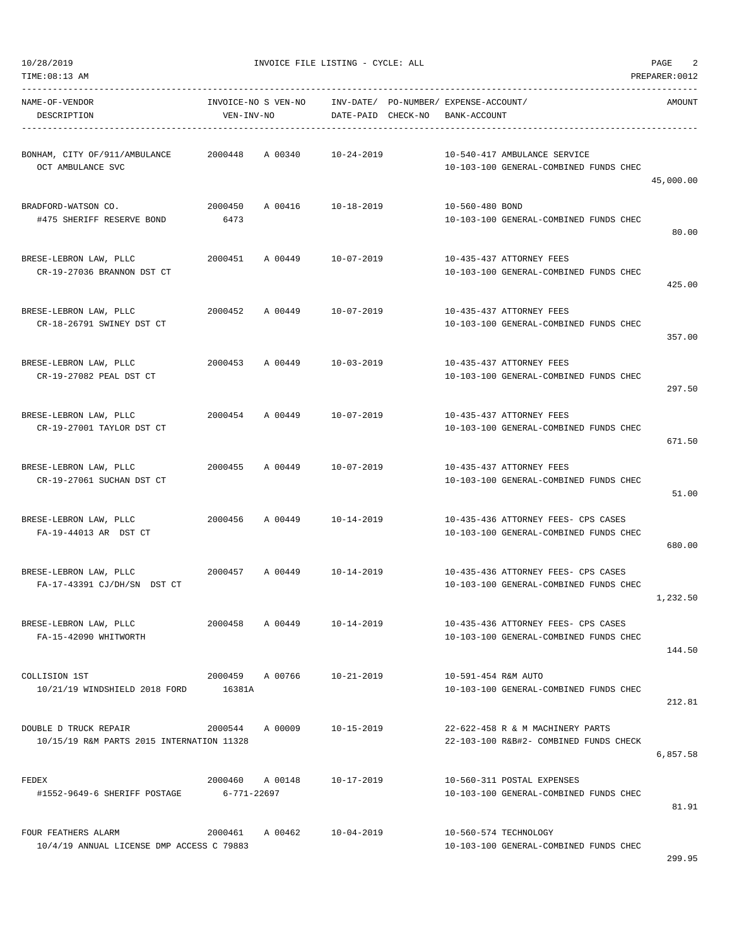| NAME-OF-VENDOR<br>DESCRIPTION                                      | VEN-INV-NO      | INVOICE-NO S VEN-NO        | INV-DATE/ PO-NUMBER/ EXPENSE-ACCOUNT/<br>DATE-PAID CHECK-NO | BANK-ACCOUNT          |                                                                               | AMOUNT    |
|--------------------------------------------------------------------|-----------------|----------------------------|-------------------------------------------------------------|-----------------------|-------------------------------------------------------------------------------|-----------|
| BONHAM, CITY OF/911/AMBULANCE 2000448 A 00340<br>OCT AMBULANCE SVC |                 |                            | 10-24-2019                                                  |                       | 10-540-417 AMBULANCE SERVICE<br>10-103-100 GENERAL-COMBINED FUNDS CHEC        | 45,000.00 |
| BRADFORD-WATSON CO.<br>#475 SHERIFF RESERVE BOND                   | 2000450<br>6473 | A 00416 10-18-2019         |                                                             | 10-560-480 BOND       | 10-103-100 GENERAL-COMBINED FUNDS CHEC                                        | 80.00     |
| BRESE-LEBRON LAW, PLLC<br>CR-19-27036 BRANNON DST CT               | 2000451         | A 00449 10-07-2019         |                                                             |                       | 10-435-437 ATTORNEY FEES<br>10-103-100 GENERAL-COMBINED FUNDS CHEC            | 425.00    |
| BRESE-LEBRON LAW, PLLC<br>CR-18-26791 SWINEY DST CT                |                 | 2000452 A 00449 10-07-2019 |                                                             |                       | 10-435-437 ATTORNEY FEES<br>10-103-100 GENERAL-COMBINED FUNDS CHEC            | 357.00    |
| BRESE-LEBRON LAW, PLLC<br>CR-19-27082 PEAL DST CT                  |                 | 2000453 A 00449            | 10-03-2019                                                  |                       | 10-435-437 ATTORNEY FEES<br>10-103-100 GENERAL-COMBINED FUNDS CHEC            | 297.50    |
| BRESE-LEBRON LAW, PLLC<br>CR-19-27001 TAYLOR DST CT                |                 | 2000454 A 00449 10-07-2019 |                                                             |                       | 10-435-437 ATTORNEY FEES<br>10-103-100 GENERAL-COMBINED FUNDS CHEC            | 671.50    |
| BRESE-LEBRON LAW, PLLC<br>CR-19-27061 SUCHAN DST CT                |                 | 2000455 A 00449 10-07-2019 |                                                             |                       | 10-435-437 ATTORNEY FEES<br>10-103-100 GENERAL-COMBINED FUNDS CHEC            | 51.00     |
| BRESE-LEBRON LAW, PLLC<br>FA-19-44013 AR DST CT                    |                 | 2000456 A 00449 10-14-2019 |                                                             |                       | 10-435-436 ATTORNEY FEES- CPS CASES<br>10-103-100 GENERAL-COMBINED FUNDS CHEC | 680.00    |
| BRESE-LEBRON LAW, PLLC<br>FA-17-43391 CJ/DH/SN DST CT              |                 | 2000457 A 00449 10-14-2019 |                                                             |                       | 10-435-436 ATTORNEY FEES- CPS CASES<br>10-103-100 GENERAL-COMBINED FUNDS CHEC | 1,232.50  |
| BRESE-LEBRON LAW, PLLC<br>FA-15-42090 WHITWORTH                    | 2000458         | A 00449                    | $10 - 14 - 2019$                                            |                       | 10-435-436 ATTORNEY FEES- CPS CASES<br>10-103-100 GENERAL-COMBINED FUNDS CHEC | 144.50    |
| COLLISION 1ST<br>10/21/19 WINDSHIELD 2018 FORD 16381A              |                 | 2000459 A 00766 10-21-2019 |                                                             | 10-591-454 R&M AUTO   | 10-103-100 GENERAL-COMBINED FUNDS CHEC                                        | 212.81    |
| DOUBLE D TRUCK REPAIR<br>10/15/19 R&M PARTS 2015 INTERNATION 11328 |                 | 2000544 A00009             | 10-15-2019                                                  |                       | 22-622-458 R & M MACHINERY PARTS<br>22-103-100 R&B#2- COMBINED FUNDS CHECK    | 6,857.58  |
| FEDEX<br>#1552-9649-6 SHERIFF POSTAGE                              | 6-771-22697     | 2000460 A 00148            | 10-17-2019                                                  |                       | 10-560-311 POSTAL EXPENSES<br>10-103-100 GENERAL-COMBINED FUNDS CHEC          | 81.91     |
| FOUR FEATHERS ALARM<br>10/4/19 ANNUAL LICENSE DMP ACCESS C 79883   |                 | 2000461 A 00462 10-04-2019 |                                                             | 10-560-574 TECHNOLOGY | 10-103-100 GENERAL-COMBINED FUNDS CHEC                                        |           |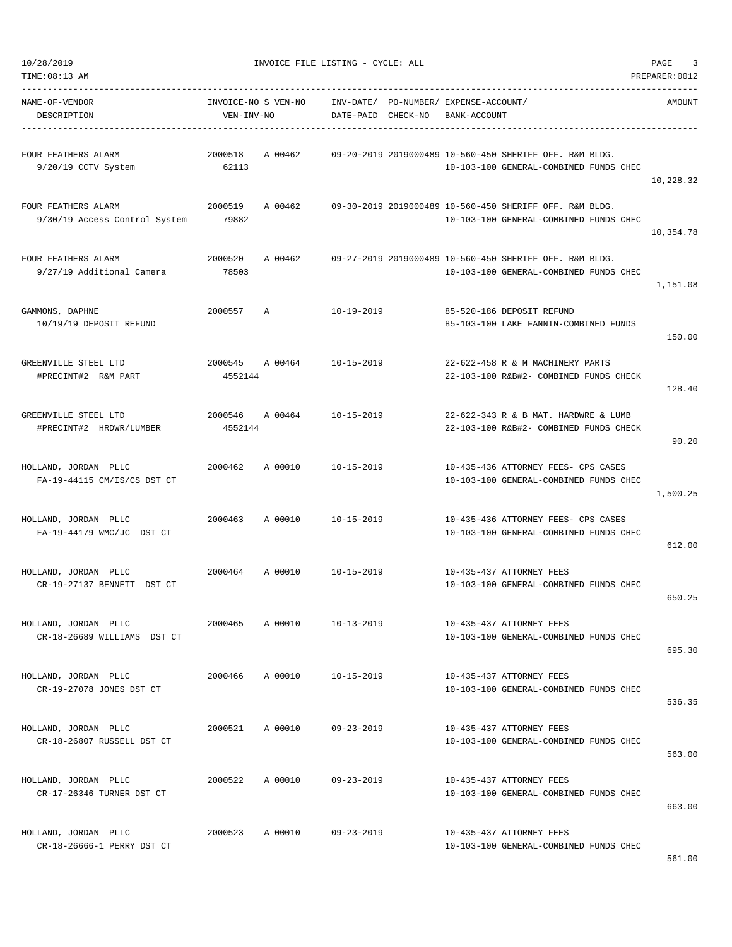| TIME:08:13 AM                                        |                                   |                    |                                                                                                   | PREPARER: 0012 |
|------------------------------------------------------|-----------------------------------|--------------------|---------------------------------------------------------------------------------------------------|----------------|
| NAME-OF-VENDOR<br>DESCRIPTION                        | INVOICE-NO S VEN-NO<br>VEN-INV-NO | DATE-PAID CHECK-NO | INV-DATE/ PO-NUMBER/ EXPENSE-ACCOUNT/<br>BANK-ACCOUNT                                             | AMOUNT         |
| FOUR FEATHERS ALARM<br>9/20/19 CCTV System           | 2000518<br>A 00462<br>62113       |                    | 09-20-2019 2019000489 10-560-450 SHERIFF OFF. R&M BLDG.<br>10-103-100 GENERAL-COMBINED FUNDS CHEC | 10,228.32      |
| FOUR FEATHERS ALARM<br>9/30/19 Access Control System | 2000519<br>A 00462<br>79882       |                    | 09-30-2019 2019000489 10-560-450 SHERIFF OFF. R&M BLDG.<br>10-103-100 GENERAL-COMBINED FUNDS CHEC | 10,354.78      |
| FOUR FEATHERS ALARM<br>9/27/19 Additional Camera     | 2000520<br>A 00462<br>78503       |                    | 09-27-2019 2019000489 10-560-450 SHERIFF OFF. R&M BLDG.<br>10-103-100 GENERAL-COMBINED FUNDS CHEC | 1,151.08       |
| GAMMONS, DAPHNE<br>10/19/19 DEPOSIT REFUND           | 2000557 A                         | $10 - 19 - 2019$   | 85-520-186 DEPOSIT REFUND<br>85-103-100 LAKE FANNIN-COMBINED FUNDS                                | 150.00         |
| GREENVILLE STEEL LTD<br>#PRECINT#2 R&M PART          | 2000545<br>A 00464<br>4552144     | $10 - 15 - 2019$   | 22-622-458 R & M MACHINERY PARTS<br>22-103-100 R&B#2- COMBINED FUNDS CHECK                        | 128.40         |
| GREENVILLE STEEL LTD<br>#PRECINT#2 HRDWR/LUMBER      | 2000546<br>A 00464<br>4552144     | $10 - 15 - 2019$   | 22-622-343 R & B MAT. HARDWRE & LUMB<br>22-103-100 R&B#2- COMBINED FUNDS CHECK                    | 90.20          |
| HOLLAND, JORDAN PLLC<br>FA-19-44115 CM/IS/CS DST CT  | 2000462<br>A 00010                | 10-15-2019         | 10-435-436 ATTORNEY FEES- CPS CASES<br>10-103-100 GENERAL-COMBINED FUNDS CHEC                     | 1,500.25       |
| HOLLAND, JORDAN PLLC<br>FA-19-44179 WMC/JC DST CT    | 2000463<br>A 00010                | $10 - 15 - 2019$   | 10-435-436 ATTORNEY FEES- CPS CASES<br>10-103-100 GENERAL-COMBINED FUNDS CHEC                     | 612.00         |
| HOLLAND, JORDAN PLLC<br>CR-19-27137 BENNETT DST CT   | 2000464 A 00010                   | $10 - 15 - 2019$   | 10-435-437 ATTORNEY FEES<br>10-103-100 GENERAL-COMBINED FUNDS CHEC                                | 650.25         |
| HOLLAND, JORDAN PLLC<br>CR-18-26689 WILLIAMS DST CT  | 2000465<br>A 00010                | $10 - 13 - 2019$   | 10-435-437 ATTORNEY FEES<br>10-103-100 GENERAL-COMBINED FUNDS CHEC                                | 695.30         |
| HOLLAND, JORDAN PLLC<br>CR-19-27078 JONES DST CT     | 2000466<br>A 00010                | 10-15-2019         | 10-435-437 ATTORNEY FEES<br>10-103-100 GENERAL-COMBINED FUNDS CHEC                                | 536.35         |
| HOLLAND, JORDAN PLLC<br>CR-18-26807 RUSSELL DST CT   | 2000521<br>A 00010                | $09 - 23 - 2019$   | 10-435-437 ATTORNEY FEES<br>10-103-100 GENERAL-COMBINED FUNDS CHEC                                | 563.00         |
| HOLLAND, JORDAN PLLC<br>CR-17-26346 TURNER DST CT    | 2000522<br>A 00010                | $09 - 23 - 2019$   | 10-435-437 ATTORNEY FEES<br>10-103-100 GENERAL-COMBINED FUNDS CHEC                                | 663.00         |
| HOLLAND, JORDAN PLLC<br>CR-18-26666-1 PERRY DST CT   | 2000523<br>A 00010                | 09-23-2019         | 10-435-437 ATTORNEY FEES<br>10-103-100 GENERAL-COMBINED FUNDS CHEC                                |                |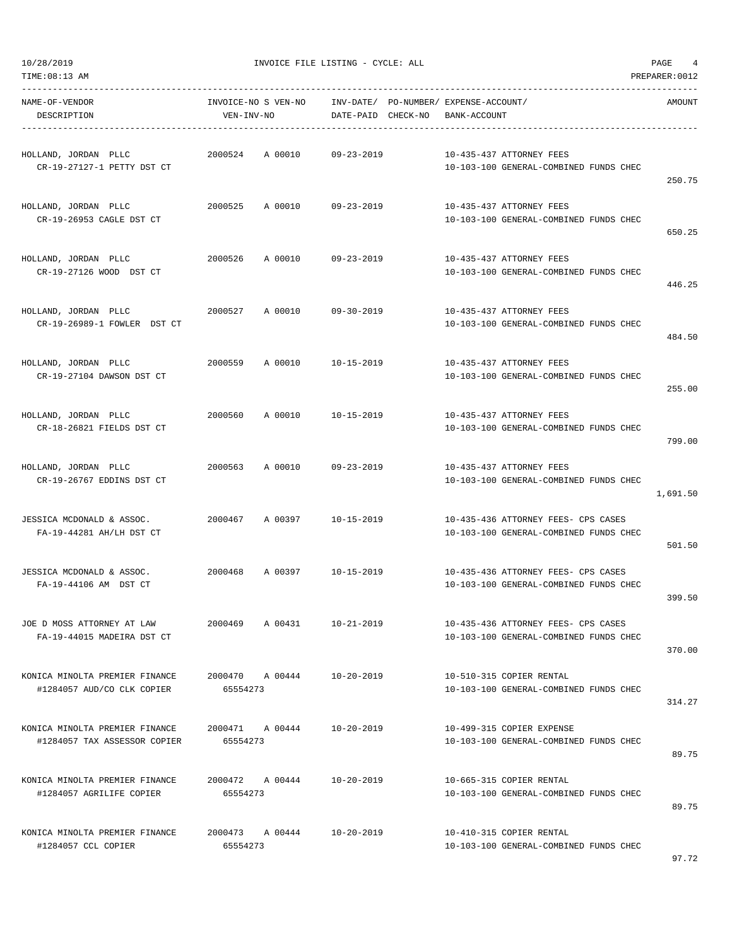| NAME-OF-VENDOR<br>DESCRIPTION                                  | INVOICE-NO S VEN-NO<br>VEN-INV-NO | INV-DATE/ PO-NUMBER/ EXPENSE-ACCOUNT/<br>DATE-PAID CHECK-NO | BANK-ACCOUNT                                                                  | AMOUNT   |
|----------------------------------------------------------------|-----------------------------------|-------------------------------------------------------------|-------------------------------------------------------------------------------|----------|
| HOLLAND, JORDAN PLLC<br>CR-19-27127-1 PETTY DST CT             | 2000524 A 00010                   | 09-23-2019                                                  | 10-435-437 ATTORNEY FEES<br>10-103-100 GENERAL-COMBINED FUNDS CHEC            | 250.75   |
| HOLLAND, JORDAN PLLC<br>CR-19-26953 CAGLE DST CT               | 2000525 A 00010 09-23-2019        |                                                             | 10-435-437 ATTORNEY FEES<br>10-103-100 GENERAL-COMBINED FUNDS CHEC            | 650.25   |
| HOLLAND, JORDAN PLLC<br>CR-19-27126 WOOD DST CT                | 2000526<br>A 00010                | 09-23-2019                                                  | 10-435-437 ATTORNEY FEES<br>10-103-100 GENERAL-COMBINED FUNDS CHEC            | 446.25   |
| HOLLAND, JORDAN PLLC<br>CR-19-26989-1 FOWLER DST CT            | A 00010<br>2000527                | 09-30-2019                                                  | 10-435-437 ATTORNEY FEES<br>10-103-100 GENERAL-COMBINED FUNDS CHEC            | 484.50   |
| HOLLAND, JORDAN PLLC<br>CR-19-27104 DAWSON DST CT              | 2000559 A 00010                   | 10-15-2019                                                  | 10-435-437 ATTORNEY FEES<br>10-103-100 GENERAL-COMBINED FUNDS CHEC            | 255.00   |
| HOLLAND, JORDAN PLLC<br>CR-18-26821 FIELDS DST CT              | 2000560                           | A 00010 10-15-2019                                          | 10-435-437 ATTORNEY FEES<br>10-103-100 GENERAL-COMBINED FUNDS CHEC            | 799.00   |
| HOLLAND, JORDAN PLLC<br>CR-19-26767 EDDINS DST CT              | 2000563<br>A 00010                | 09-23-2019                                                  | 10-435-437 ATTORNEY FEES<br>10-103-100 GENERAL-COMBINED FUNDS CHEC            | 1,691.50 |
| JESSICA MCDONALD & ASSOC.<br>FA-19-44281 AH/LH DST CT          | 2000467<br>A 00397                | 10-15-2019                                                  | 10-435-436 ATTORNEY FEES- CPS CASES<br>10-103-100 GENERAL-COMBINED FUNDS CHEC | 501.50   |
| JESSICA MCDONALD & ASSOC.<br>FA-19-44106 AM DST CT             | 2000468 A 00397 10-15-2019        |                                                             | 10-435-436 ATTORNEY FEES- CPS CASES<br>10-103-100 GENERAL-COMBINED FUNDS CHEC | 399.50   |
| JOE D MOSS ATTORNEY AT LAW<br>FA-19-44015 MADEIRA DST CT       | 2000469<br>A 00431                | 10-21-2019                                                  | 10-435-436 ATTORNEY FEES- CPS CASES<br>10-103-100 GENERAL-COMBINED FUNDS CHEC | 370.00   |
| KONICA MINOLTA PREMIER FINANCE<br>#1284057 AUD/CO CLK COPIER   | 2000470 A 00444<br>65554273       | $10 - 20 - 2019$                                            | 10-510-315 COPIER RENTAL<br>10-103-100 GENERAL-COMBINED FUNDS CHEC            | 314.27   |
| KONICA MINOLTA PREMIER FINANCE<br>#1284057 TAX ASSESSOR COPIER | 2000471 A 00444<br>65554273       | $10 - 20 - 2019$                                            | 10-499-315 COPIER EXPENSE<br>10-103-100 GENERAL-COMBINED FUNDS CHEC           | 89.75    |
| KONICA MINOLTA PREMIER FINANCE<br>#1284057 AGRILIFE COPIER     | 2000472 A 00444<br>65554273       | $10 - 20 - 2019$                                            | 10-665-315 COPIER RENTAL<br>10-103-100 GENERAL-COMBINED FUNDS CHEC            | 89.75    |
| KONICA MINOLTA PREMIER FINANCE<br>#1284057 CCL COPIER          | 2000473 A 00444<br>65554273       | $10 - 20 - 2019$                                            | 10-410-315 COPIER RENTAL<br>10-103-100 GENERAL-COMBINED FUNDS CHEC            |          |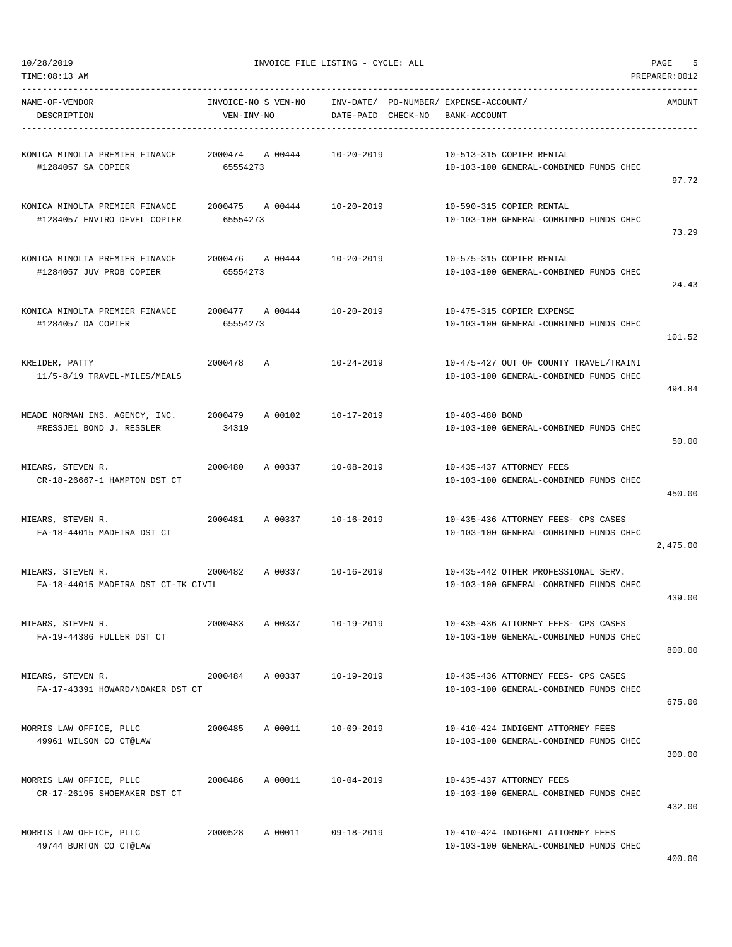NAME-OF-VENDOR INVOICE-NO S VEN-NO INV-DATE/ PO-NUMBER/ EXPENSE-ACCOUNT/ AMOUNT

TIME:08:13 AM PREPARER:0012 -----------------------------------------------------------------------------------------------------------------------------------

| DESCRIPTION                                                    | VEN-INV-NO                             | DATE-PAID CHECK-NO | BANK-ACCOUNT                                                                     |          |
|----------------------------------------------------------------|----------------------------------------|--------------------|----------------------------------------------------------------------------------|----------|
| KONICA MINOLTA PREMIER FINANCE<br>#1284057 SA COPIER           | 2000474 A 00444<br>65554273            | 10-20-2019         | 10-513-315 COPIER RENTAL<br>10-103-100 GENERAL-COMBINED FUNDS CHEC               | 97.72    |
| KONICA MINOLTA PREMIER FINANCE<br>#1284057 ENVIRO DEVEL COPIER | 2000475 A 00444 10-20-2019<br>65554273 |                    | 10-590-315 COPIER RENTAL<br>10-103-100 GENERAL-COMBINED FUNDS CHEC               | 73.29    |
| KONICA MINOLTA PREMIER FINANCE<br>#1284057 JUV PROB COPIER     | 2000476<br>A 00444<br>65554273         | 10-20-2019         | 10-575-315 COPIER RENTAL<br>10-103-100 GENERAL-COMBINED FUNDS CHEC               | 24.43    |
| KONICA MINOLTA PREMIER FINANCE<br>#1284057 DA COPIER           | 2000477 A 00444<br>65554273            | 10-20-2019         | 10-475-315 COPIER EXPENSE<br>10-103-100 GENERAL-COMBINED FUNDS CHEC              | 101.52   |
| KREIDER, PATTY<br>11/5-8/19 TRAVEL-MILES/MEALS                 | 2000478<br>$\overline{A}$              | 10-24-2019         | 10-475-427 OUT OF COUNTY TRAVEL/TRAINI<br>10-103-100 GENERAL-COMBINED FUNDS CHEC | 494.84   |
| MEADE NORMAN INS. AGENCY, INC.<br>#RESSJE1 BOND J. RESSLER     | A 00102<br>2000479<br>34319            | 10-17-2019         | 10-403-480 BOND<br>10-103-100 GENERAL-COMBINED FUNDS CHEC                        | 50.00    |
| MIEARS, STEVEN R.<br>CR-18-26667-1 HAMPTON DST CT              | 2000480<br>A 00337                     | 10-08-2019         | 10-435-437 ATTORNEY FEES<br>10-103-100 GENERAL-COMBINED FUNDS CHEC               | 450.00   |
| MIEARS, STEVEN R.<br>FA-18-44015 MADEIRA DST CT                | 2000481<br>A 00337                     | 10-16-2019         | 10-435-436 ATTORNEY FEES- CPS CASES<br>10-103-100 GENERAL-COMBINED FUNDS CHEC    | 2,475.00 |
| MIEARS, STEVEN R.<br>FA-18-44015 MADEIRA DST CT-TK CIVIL       | 2000482                                | A 00337 10-16-2019 | 10-435-442 OTHER PROFESSIONAL SERV.<br>10-103-100 GENERAL-COMBINED FUNDS CHEC    | 439.00   |
| MIEARS, STEVEN R.<br>FA-19-44386 FULLER DST CT                 | 2000483<br>A 00337 10-19-2019          |                    | 10-435-436 ATTORNEY FEES- CPS CASES<br>10-103-100 GENERAL-COMBINED FUNDS CHEC    | 800.00   |
| MIEARS, STEVEN R.<br>FA-17-43391 HOWARD/NOAKER DST CT          | 2000484<br>A 00337                     | 10-19-2019         | 10-435-436 ATTORNEY FEES- CPS CASES<br>10-103-100 GENERAL-COMBINED FUNDS CHEC    | 675.00   |
| MORRIS LAW OFFICE, PLLC<br>49961 WILSON CO CT@LAW              | A 00011<br>2000485                     | 10-09-2019         | 10-410-424 INDIGENT ATTORNEY FEES<br>10-103-100 GENERAL-COMBINED FUNDS CHEC      | 300.00   |
| MORRIS LAW OFFICE, PLLC<br>CR-17-26195 SHOEMAKER DST CT        | 2000486<br>A 00011                     | 10-04-2019         | 10-435-437 ATTORNEY FEES<br>10-103-100 GENERAL-COMBINED FUNDS CHEC               | 432.00   |
| MORRIS LAW OFFICE, PLLC<br>49744 BURTON CO CT@LAW              | 2000528<br>A 00011                     | 09-18-2019         | 10-410-424 INDIGENT ATTORNEY FEES<br>10-103-100 GENERAL-COMBINED FUNDS CHEC      |          |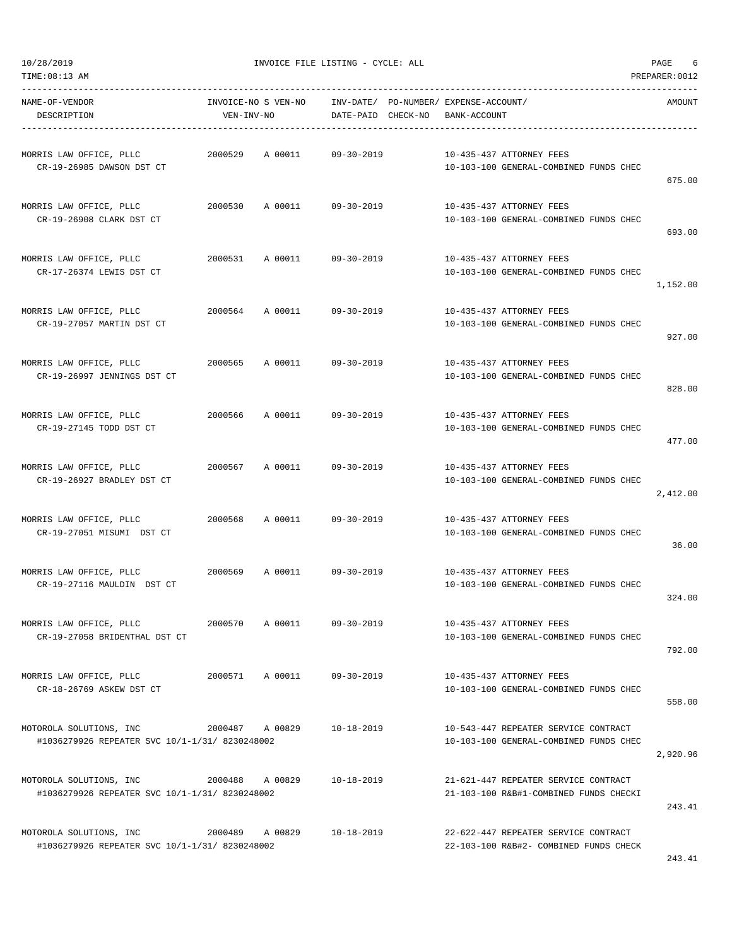| NAME-OF-VENDOR<br>DESCRIPTION                                             | VEN-INV-NO      | INVOICE-NO S VEN-NO | DATE-PAID CHECK-NO | INV-DATE/ PO-NUMBER/ EXPENSE-ACCOUNT/<br>BANK-ACCOUNT |                                                                                | AMOUNT   |
|---------------------------------------------------------------------------|-----------------|---------------------|--------------------|-------------------------------------------------------|--------------------------------------------------------------------------------|----------|
| MORRIS LAW OFFICE, PLLC<br>CR-19-26985 DAWSON DST CT                      | 2000529         | A 00011             | $09 - 30 - 2019$   |                                                       | 10-435-437 ATTORNEY FEES<br>10-103-100 GENERAL-COMBINED FUNDS CHEC             | 675.00   |
| MORRIS LAW OFFICE, PLLC<br>CR-19-26908 CLARK DST CT                       | 2000530         | A 00011             | $09 - 30 - 2019$   |                                                       | 10-435-437 ATTORNEY FEES<br>10-103-100 GENERAL-COMBINED FUNDS CHEC             | 693.00   |
| MORRIS LAW OFFICE, PLLC<br>CR-17-26374 LEWIS DST CT                       | 2000531         | A 00011             | $09 - 30 - 2019$   |                                                       | 10-435-437 ATTORNEY FEES<br>10-103-100 GENERAL-COMBINED FUNDS CHEC             | 1,152.00 |
| MORRIS LAW OFFICE, PLLC<br>CR-19-27057 MARTIN DST CT                      | 2000564         | A 00011             | $09 - 30 - 2019$   |                                                       | 10-435-437 ATTORNEY FEES<br>10-103-100 GENERAL-COMBINED FUNDS CHEC             | 927.00   |
| MORRIS LAW OFFICE, PLLC<br>CR-19-26997 JENNINGS DST CT                    | 2000565         | A 00011             | $09 - 30 - 2019$   |                                                       | 10-435-437 ATTORNEY FEES<br>10-103-100 GENERAL-COMBINED FUNDS CHEC             | 828.00   |
| MORRIS LAW OFFICE, PLLC<br>CR-19-27145 TODD DST CT                        | 2000566         | A 00011             | $09 - 30 - 2019$   |                                                       | 10-435-437 ATTORNEY FEES<br>10-103-100 GENERAL-COMBINED FUNDS CHEC             | 477.00   |
| MORRIS LAW OFFICE, PLLC<br>CR-19-26927 BRADLEY DST CT                     | 2000567         | A 00011             | $09 - 30 - 2019$   |                                                       | 10-435-437 ATTORNEY FEES<br>10-103-100 GENERAL-COMBINED FUNDS CHEC             | 2,412.00 |
| MORRIS LAW OFFICE, PLLC<br>CR-19-27051 MISUMI DST CT                      | 2000568         | A 00011             | $09 - 30 - 2019$   |                                                       | 10-435-437 ATTORNEY FEES<br>10-103-100 GENERAL-COMBINED FUNDS CHEC             | 36.00    |
| MORRIS LAW OFFICE, PLLC<br>CR-19-27116 MAULDIN DST CT                     | 2000569         | A 00011             | $09 - 30 - 2019$   |                                                       | 10-435-437 ATTORNEY FEES<br>10-103-100 GENERAL-COMBINED FUNDS CHEC             | 324.00   |
| MORRIS LAW OFFICE, PLLC<br>CR-19-27058 BRIDENTHAL DST CT                  | 2000570         | A 00011             | $09 - 30 - 2019$   |                                                       | 10-435-437 ATTORNEY FEES<br>10-103-100 GENERAL-COMBINED FUNDS CHEC             | 792.00   |
| MORRIS LAW OFFICE, PLLC<br>CR-18-26769 ASKEW DST CT                       | 2000571         | A 00011             | $09 - 30 - 2019$   |                                                       | 10-435-437 ATTORNEY FEES<br>10-103-100 GENERAL-COMBINED FUNDS CHEC             | 558.00   |
| MOTOROLA SOLUTIONS, INC<br>#1036279926 REPEATER SVC 10/1-1/31/ 8230248002 | 2000487 A 00829 |                     | $10 - 18 - 2019$   |                                                       | 10-543-447 REPEATER SERVICE CONTRACT<br>10-103-100 GENERAL-COMBINED FUNDS CHEC | 2,920.96 |
| MOTOROLA SOLUTIONS, INC<br>#1036279926 REPEATER SVC 10/1-1/31/ 8230248002 | 2000488         | A 00829             | $10 - 18 - 2019$   |                                                       | 21-621-447 REPEATER SERVICE CONTRACT<br>21-103-100 R&B#1-COMBINED FUNDS CHECKI | 243.41   |
| MOTOROLA SOLUTIONS, INC<br>#1036279926 REPEATER SVC 10/1-1/31/ 8230248002 | 2000489         | A 00829             | $10 - 18 - 2019$   |                                                       | 22-622-447 REPEATER SERVICE CONTRACT<br>22-103-100 R&B#2- COMBINED FUNDS CHECK | 243.41   |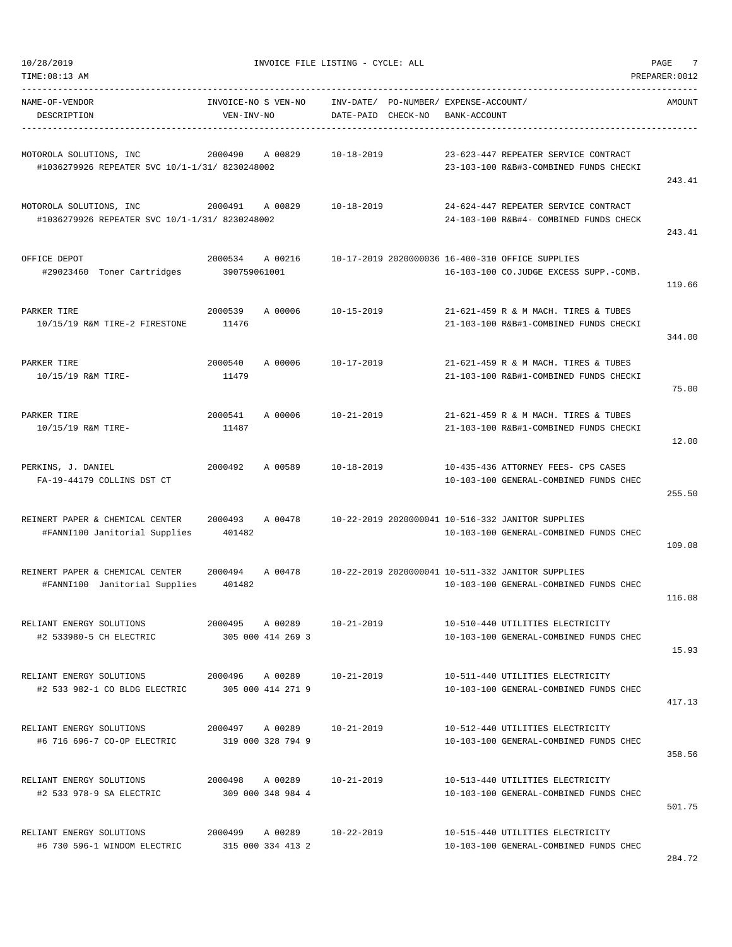| 10/28/2019<br>TIME: 08:13 AM                                                |                                      | INVOICE FILE LISTING - CYCLE: ALL                           |                                                                                             | 7<br>PAGE<br>PREPARER: 0012 |
|-----------------------------------------------------------------------------|--------------------------------------|-------------------------------------------------------------|---------------------------------------------------------------------------------------------|-----------------------------|
| NAME-OF-VENDOR<br>DESCRIPTION                                               | INVOICE-NO S VEN-NO<br>VEN-INV-NO    | INV-DATE/ PO-NUMBER/ EXPENSE-ACCOUNT/<br>DATE-PAID CHECK-NO | BANK-ACCOUNT                                                                                | AMOUNT                      |
| MOTOROLA SOLUTIONS, INC<br>#1036279926 REPEATER SVC 10/1-1/31/ 8230248002   | 2000490<br>A 00829                   | 10-18-2019                                                  | 23-623-447 REPEATER SERVICE CONTRACT<br>23-103-100 R&B#3-COMBINED FUNDS CHECKI              | 243.41                      |
| MOTOROLA SOLUTIONS, INC<br>#1036279926 REPEATER SVC 10/1-1/31/ 8230248002   | 2000491<br>A 00829                   | $10 - 18 - 2019$                                            | 24-624-447 REPEATER SERVICE CONTRACT<br>24-103-100 R&B#4- COMBINED FUNDS CHECK              | 243.41                      |
| OFFICE DEPOT<br>#29023460 Toner Cartridges                                  | 2000534<br>A 00216<br>390759061001   |                                                             | 10-17-2019 2020000036 16-400-310 OFFICE SUPPLIES<br>16-103-100 CO.JUDGE EXCESS SUPP.-COMB.  | 119.66                      |
| PARKER TIRE<br>10/15/19 R&M TIRE-2 FIRESTONE                                | 2000539<br>A 00006<br>11476          | $10 - 15 - 2019$                                            | 21-621-459 R & M MACH. TIRES & TUBES<br>21-103-100 R&B#1-COMBINED FUNDS CHECKI              | 344.00                      |
| PARKER TIRE<br>10/15/19 R&M TIRE-                                           | 2000540<br>A 00006<br>11479          | 10-17-2019                                                  | 21-621-459 R & M MACH. TIRES & TUBES<br>21-103-100 R&B#1-COMBINED FUNDS CHECKI              | 75.00                       |
| PARKER TIRE<br>10/15/19 R&M TIRE-                                           | 2000541<br>A 00006<br>11487          | $10 - 21 - 2019$                                            | 21-621-459 R & M MACH. TIRES & TUBES<br>21-103-100 R&B#1-COMBINED FUNDS CHECKI              | 12.00                       |
| PERKINS, J. DANIEL<br>FA-19-44179 COLLINS DST CT                            | 2000492<br>A 00589                   | $10 - 18 - 2019$                                            | 10-435-436 ATTORNEY FEES- CPS CASES<br>10-103-100 GENERAL-COMBINED FUNDS CHEC               | 255.50                      |
| REINERT PAPER & CHEMICAL CENTER<br>#FANNI100 Janitorial Supplies            | 2000493<br>A 00478<br>401482         |                                                             | 10-22-2019 2020000041 10-516-332 JANITOR SUPPLIES<br>10-103-100 GENERAL-COMBINED FUNDS CHEC | 109.08                      |
| REINERT PAPER & CHEMICAL CENTER<br>#FANNI100 Janitorial Supplies            | 2000494<br>A 00478<br>401482         |                                                             | 10-22-2019 2020000041 10-511-332 JANITOR SUPPLIES<br>10-103-100 GENERAL-COMBINED FUNDS CHEC | 116.08                      |
| RELIANT ENERGY SOLUTIONS<br>#2 533980-5 CH ELECTRIC                         | 2000495 A 00289<br>305 000 414 269 3 | 10-21-2019                                                  | 10-510-440 UTILITIES ELECTRICITY<br>10-103-100 GENERAL-COMBINED FUNDS CHEC                  | 15.93                       |
| RELIANT ENERGY SOLUTIONS<br>#2 533 982-1 CO BLDG ELECTRIC 305 000 414 271 9 | 2000496 A 00289                      | $10 - 21 - 2019$                                            | 10-511-440 UTILITIES ELECTRICITY<br>10-103-100 GENERAL-COMBINED FUNDS CHEC                  | 417.13                      |
| RELIANT ENERGY SOLUTIONS<br>#6 716 696-7 CO-OP ELECTRIC                     | 2000497 A 00289<br>319 000 328 794 9 | 10-21-2019                                                  | 10-512-440 UTILITIES ELECTRICITY<br>10-103-100 GENERAL-COMBINED FUNDS CHEC                  | 358.56                      |
| RELIANT ENERGY SOLUTIONS<br>#2 533 978-9 SA ELECTRIC                        | 2000498 A 00289<br>309 000 348 984 4 | 10-21-2019                                                  | 10-513-440 UTILITIES ELECTRICITY<br>10-103-100 GENERAL-COMBINED FUNDS CHEC                  | 501.75                      |
| RELIANT ENERGY SOLUTIONS<br>#6 730 596-1 WINDOM ELECTRIC                    | 2000499 A00289<br>315 000 334 413 2  | 10-22-2019                                                  | 10-515-440 UTILITIES ELECTRICITY<br>10-103-100 GENERAL-COMBINED FUNDS CHEC                  |                             |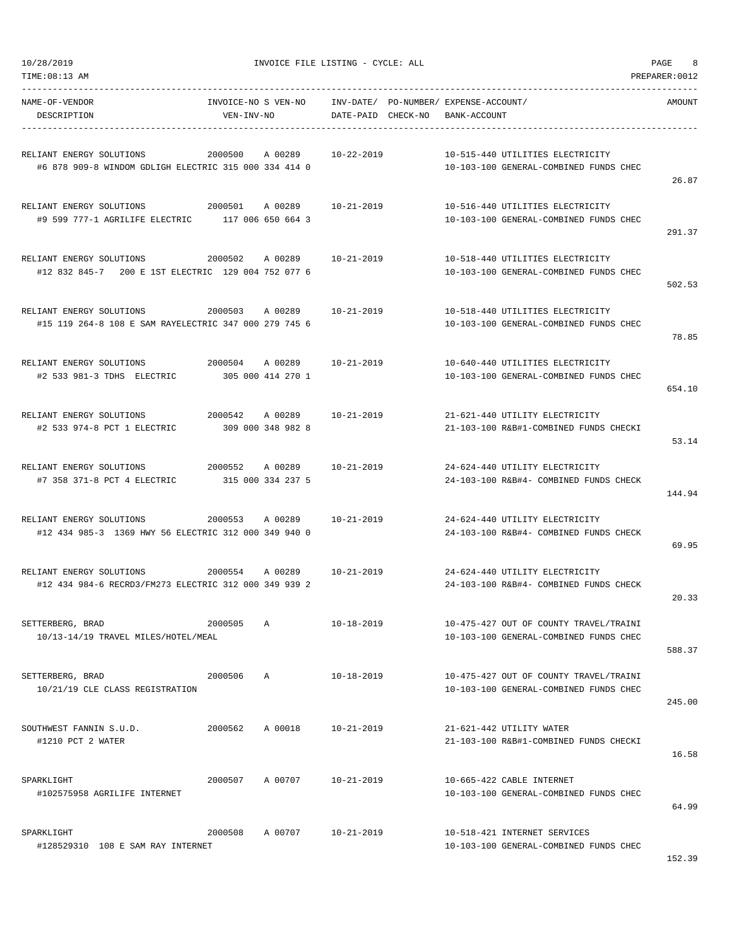| NAME-OF-VENDOR<br>DESCRIPTION                                                     | INVOICE-NO S VEN-NO<br>VEN-INV-NO |                              | DATE-PAID CHECK-NO | --------------- | INV-DATE/ PO-NUMBER/ EXPENSE-ACCOUNT/<br>BANK-ACCOUNT |                                                                                  | AMOUNT |
|-----------------------------------------------------------------------------------|-----------------------------------|------------------------------|--------------------|-----------------|-------------------------------------------------------|----------------------------------------------------------------------------------|--------|
| RELIANT ENERGY SOLUTIONS<br>#6 878 909-8 WINDOM GDLIGH ELECTRIC 315 000 334 414 0 | 2000500                           | A 00289                      | $10 - 22 - 2019$   |                 |                                                       | 10-515-440 UTILITIES ELECTRICITY<br>10-103-100 GENERAL-COMBINED FUNDS CHEC       | 26.87  |
| RELIANT ENERGY SOLUTIONS<br>#9 599 777-1 AGRILIFE ELECTRIC 117 006 650 664 3      | 2000501                           | A 00289                      | $10 - 21 - 2019$   |                 |                                                       | 10-516-440 UTILITIES ELECTRICITY<br>10-103-100 GENERAL-COMBINED FUNDS CHEC       | 291.37 |
| RELIANT ENERGY SOLUTIONS<br>#12 832 845-7 200 E 1ST ELECTRIC 129 004 752 077 6    | 2000502                           | A 00289                      | $10 - 21 - 2019$   |                 |                                                       | 10-518-440 UTILITIES ELECTRICITY<br>10-103-100 GENERAL-COMBINED FUNDS CHEC       | 502.53 |
| RELIANT ENERGY SOLUTIONS<br>#15 119 264-8 108 E SAM RAYELECTRIC 347 000 279 745 6 | 2000503                           | A 00289                      | 10-21-2019         |                 |                                                       | 10-518-440 UTILITIES ELECTRICITY<br>10-103-100 GENERAL-COMBINED FUNDS CHEC       | 78.85  |
| RELIANT ENERGY SOLUTIONS<br>#2 533 981-3 TDHS ELECTRIC                            | 2000504                           | A 00289<br>305 000 414 270 1 | 10-21-2019         |                 |                                                       | 10-640-440 UTILITIES ELECTRICITY<br>10-103-100 GENERAL-COMBINED FUNDS CHEC       | 654.10 |
| RELIANT ENERGY SOLUTIONS<br>#2 533 974-8 PCT 1 ELECTRIC                           | 2000542                           | A 00289<br>309 000 348 982 8 | $10 - 21 - 2019$   |                 |                                                       | 21-621-440 UTILITY ELECTRICITY<br>21-103-100 R&B#1-COMBINED FUNDS CHECKI         | 53.14  |
| RELIANT ENERGY SOLUTIONS<br>#7 358 371-8 PCT 4 ELECTRIC                           | 2000552                           | A 00289<br>315 000 334 237 5 | $10 - 21 - 2019$   |                 |                                                       | 24-624-440 UTILITY ELECTRICITY<br>24-103-100 R&B#4- COMBINED FUNDS CHECK         | 144.94 |
| RELIANT ENERGY SOLUTIONS<br>#12 434 985-3 1369 HWY 56 ELECTRIC 312 000 349 940 0  | 2000553                           | A 00289                      | $10 - 21 - 2019$   |                 |                                                       | 24-624-440 UTILITY ELECTRICITY<br>24-103-100 R&B#4- COMBINED FUNDS CHECK         | 69.95  |
| RELIANT ENERGY SOLUTIONS<br>#12 434 984-6 RECRD3/FM273 ELECTRIC 312 000 349 939 2 | 2000554                           | A 00289                      | $10 - 21 - 2019$   |                 |                                                       | 24-624-440 UTILITY ELECTRICITY<br>24-103-100 R&B#4- COMBINED FUNDS CHECK         | 20.33  |
| SETTERBERG, BRAD<br>10/13-14/19 TRAVEL MILES/HOTEL/MEAL                           | 2000505                           | Α                            | $10 - 18 - 2019$   |                 |                                                       | 10-475-427 OUT OF COUNTY TRAVEL/TRAINI<br>10-103-100 GENERAL-COMBINED FUNDS CHEC | 588.37 |
| SETTERBERG, BRAD<br>10/21/19 CLE CLASS REGISTRATION                               | 2000506                           | Α                            | 10-18-2019         |                 |                                                       | 10-475-427 OUT OF COUNTY TRAVEL/TRAINI<br>10-103-100 GENERAL-COMBINED FUNDS CHEC | 245.00 |
| SOUTHWEST FANNIN S.U.D.<br>#1210 PCT 2 WATER                                      | 2000562                           | A 00018                      | 10-21-2019         |                 |                                                       | 21-621-442 UTILITY WATER<br>21-103-100 R&B#1-COMBINED FUNDS CHECKI               | 16.58  |
| SPARKLIGHT<br>#102575958 AGRILIFE INTERNET                                        | 2000507                           | A 00707                      | $10 - 21 - 2019$   |                 |                                                       | 10-665-422 CABLE INTERNET<br>10-103-100 GENERAL-COMBINED FUNDS CHEC              | 64.99  |
| SPARKLIGHT<br>#128529310 108 E SAM RAY INTERNET                                   | 2000508                           | A 00707                      | 10-21-2019         |                 |                                                       | 10-518-421 INTERNET SERVICES<br>10-103-100 GENERAL-COMBINED FUNDS CHEC           | 152.39 |

-----------------------------------------------------------------------------------------------------------------------------------

TIME:08:13 AM PREPARER:0012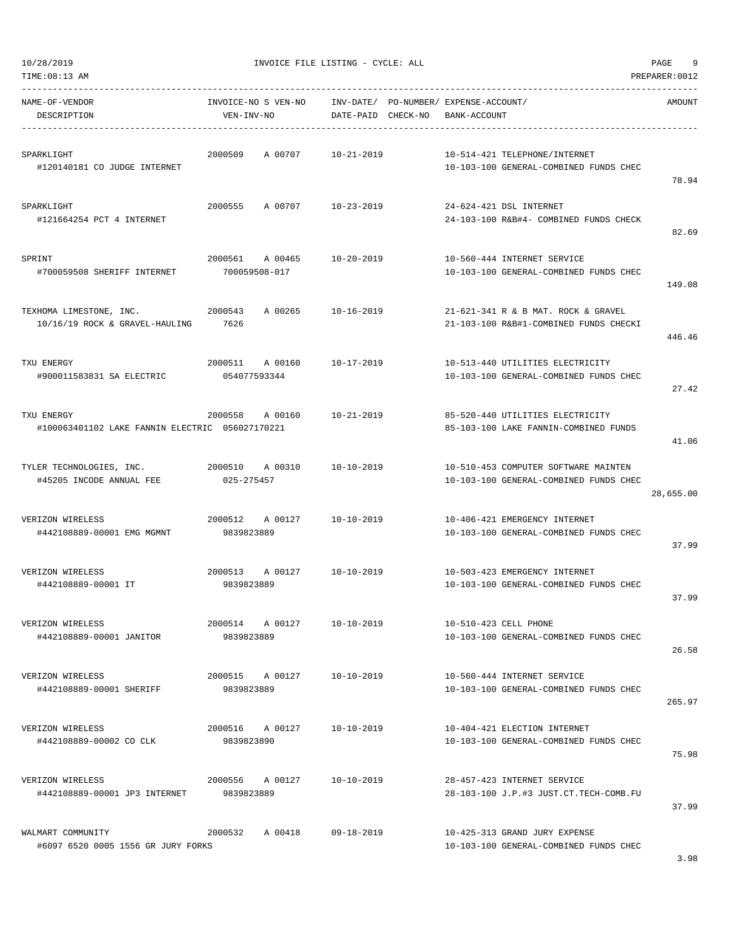| TIME:08:13 AM                                                 |                                     |                                    |                                                                                | PREPARER: 0012 |
|---------------------------------------------------------------|-------------------------------------|------------------------------------|--------------------------------------------------------------------------------|----------------|
| NAME-OF-VENDOR<br>DESCRIPTION                                 | INVOICE-NO S VEN-NO<br>VEN-INV-NO   | INV-DATE/<br>CHECK-NO<br>DATE-PAID | PO-NUMBER/ EXPENSE-ACCOUNT/<br>BANK-ACCOUNT                                    | AMOUNT         |
| SPARKLIGHT<br>#120140181 CO JUDGE INTERNET                    | 2000509<br>A 00707                  | $10 - 21 - 2019$                   | 10-514-421 TELEPHONE/INTERNET<br>10-103-100 GENERAL-COMBINED FUNDS CHEC        | 78.94          |
| SPARKLIGHT<br>#121664254 PCT 4 INTERNET                       | 2000555<br>A 00707                  | 10-23-2019                         | 24-624-421 DSL INTERNET<br>24-103-100 R&B#4- COMBINED FUNDS CHECK              | 82.69          |
| SPRINT<br>#700059508 SHERIFF INTERNET                         | 2000561<br>A 00465<br>700059508-017 | $10 - 20 - 2019$                   | 10-560-444 INTERNET SERVICE<br>10-103-100 GENERAL-COMBINED FUNDS CHEC          | 149.08         |
| TEXHOMA LIMESTONE, INC.<br>10/16/19 ROCK & GRAVEL-HAULING     | 2000543<br>A 00265<br>7626          | $10 - 16 - 2019$                   | 21-621-341 R & B MAT. ROCK & GRAVEL<br>21-103-100 R&B#1-COMBINED FUNDS CHECKI  | 446.46         |
| TXU ENERGY<br>#900011583831 SA ELECTRIC                       | 2000511<br>A 00160<br>054077593344  | $10 - 17 - 2019$                   | 10-513-440 UTILITIES ELECTRICITY<br>10-103-100 GENERAL-COMBINED FUNDS CHEC     | 27.42          |
| TXU ENERGY<br>#100063401102 LAKE FANNIN ELECTRIC 056027170221 | 2000558<br>A 00160                  | $10 - 21 - 2019$                   | 85-520-440 UTILITIES ELECTRICITY<br>85-103-100 LAKE FANNIN-COMBINED FUNDS      | 41.06          |
| TYLER TECHNOLOGIES, INC.<br>#45205 INCODE ANNUAL FEE          | 2000510<br>A 00310<br>025-275457    | $10 - 10 - 2019$                   | 10-510-453 COMPUTER SOFTWARE MAINTEN<br>10-103-100 GENERAL-COMBINED FUNDS CHEC | 28,655.00      |
| VERIZON WIRELESS<br>#442108889-00001 EMG MGMNT                | 2000512<br>A 00127<br>9839823889    | $10 - 10 - 2019$                   | 10-406-421 EMERGENCY INTERNET<br>10-103-100 GENERAL-COMBINED FUNDS CHEC        | 37.99          |
| VERIZON WIRELESS<br>#442108889-00001 IT                       | 2000513<br>A 00127<br>9839823889    | $10 - 10 - 2019$                   | 10-503-423 EMERGENCY INTERNET<br>10-103-100 GENERAL-COMBINED FUNDS CHEC        | 37.99          |
| VERIZON WIRELESS<br>#442108889-00001 JANITOR                  | 2000514 A 00127<br>9839823889       | $10 - 10 - 2019$                   | 10-510-423 CELL PHONE<br>10-103-100 GENERAL-COMBINED FUNDS CHEC                | 26.58          |
| VERIZON WIRELESS<br>#442108889-00001 SHERIFF                  | 2000515 A 00127<br>9839823889       | 10-10-2019                         | 10-560-444 INTERNET SERVICE<br>10-103-100 GENERAL-COMBINED FUNDS CHEC          | 265.97         |
| VERIZON WIRELESS<br>#442108889-00002 CO CLK                   | 2000516 A 00127<br>9839823890       | $10 - 10 - 2019$                   | 10-404-421 ELECTION INTERNET<br>10-103-100 GENERAL-COMBINED FUNDS CHEC         | 75.98          |
| VERIZON WIRELESS<br>#442108889-00001 JP3 INTERNET             | 2000556 A 00127<br>9839823889       | 10-10-2019                         | 28-457-423 INTERNET SERVICE<br>28-103-100 J.P.#3 JUST.CT.TECH-COMB.FU          | 37.99          |
| WALMART COMMUNITY<br>#6097 6520 0005 1556 GR JURY FORKS       | 2000532<br>A 00418                  | $09 - 18 - 2019$                   | 10-425-313 GRAND JURY EXPENSE<br>10-103-100 GENERAL-COMBINED FUNDS CHEC        |                |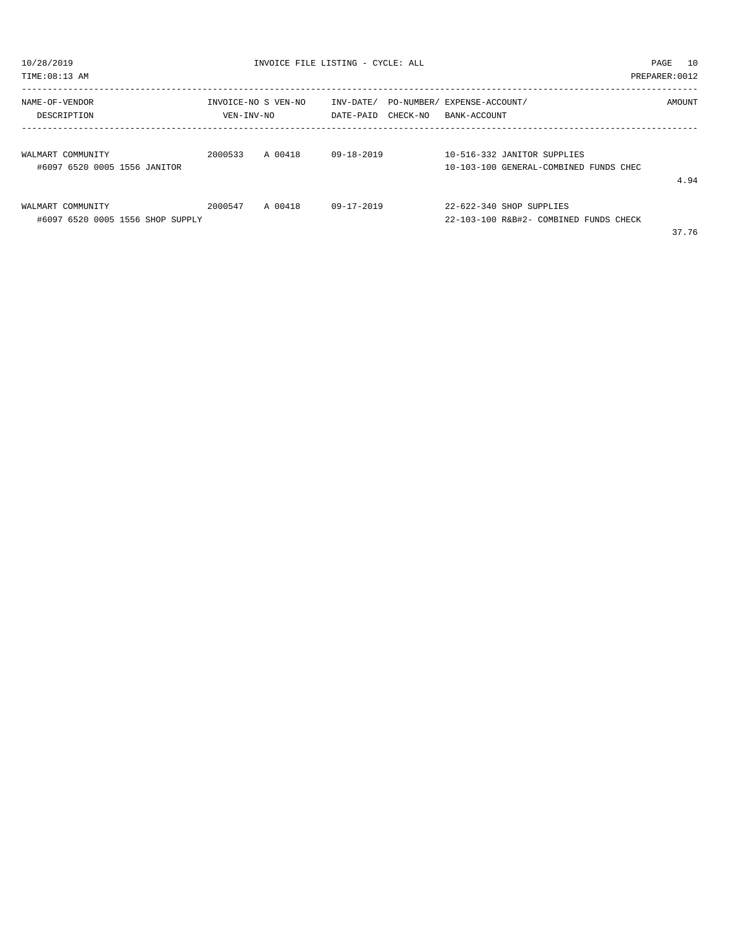| 10/28/2019<br>TIME: 08:13 AM                          |                                   | INVOICE FILE LISTING - CYCLE: ALL |                        |                                                                       | PAGE<br>PREPARER: 0012 | 10     |
|-------------------------------------------------------|-----------------------------------|-----------------------------------|------------------------|-----------------------------------------------------------------------|------------------------|--------|
| NAME-OF-VENDOR<br>DESCRIPTION                         | INVOICE-NO S VEN-NO<br>VEN-INV-NO |                                   | INV-DATE/<br>DATE-PAID | PO-NUMBER/ EXPENSE-ACCOUNT/<br>CHECK-NO BANK-ACCOUNT                  |                        | AMOUNT |
| WALMART COMMUNITY<br>#6097 6520 0005 1556 JANITOR     | 2000533 A 00418                   |                                   | 09-18-2019             | 10-516-332 JANITOR SUPPLIES<br>10-103-100 GENERAL-COMBINED FUNDS CHEC |                        | 4.94   |
| WALMART COMMUNITY<br>#6097 6520 0005 1556 SHOP SUPPLY | 2000547 A 00418                   |                                   | 09-17-2019             | 22-622-340 SHOP SUPPLIES<br>22-103-100 R&B#2- COMBINED FUNDS CHECK    |                        | 37.76  |